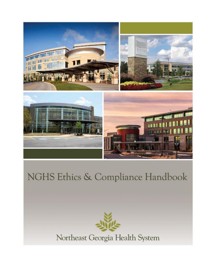

# NGHS Ethics & Compliance Handbook



Northeast Georgia Health System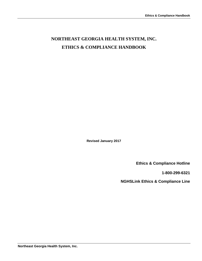## **NORTHEAST GEORGIA HEALTH SYSTEM, INC. ETHICS & COMPLIANCE HANDBOOK**

**Revised January 2017**

**Ethics & Compliance Hotline**

**1-800-299-6321**

**NGHSLink Ethics & Compliance Line**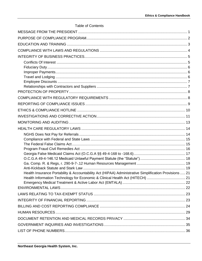<span id="page-2-0"></span>

| <b>Table of Contents</b>                                                                               |  |
|--------------------------------------------------------------------------------------------------------|--|
|                                                                                                        |  |
|                                                                                                        |  |
|                                                                                                        |  |
|                                                                                                        |  |
|                                                                                                        |  |
|                                                                                                        |  |
|                                                                                                        |  |
|                                                                                                        |  |
|                                                                                                        |  |
|                                                                                                        |  |
|                                                                                                        |  |
|                                                                                                        |  |
|                                                                                                        |  |
|                                                                                                        |  |
|                                                                                                        |  |
|                                                                                                        |  |
|                                                                                                        |  |
|                                                                                                        |  |
|                                                                                                        |  |
|                                                                                                        |  |
|                                                                                                        |  |
|                                                                                                        |  |
|                                                                                                        |  |
| Health Insurance Portability & Accountability Act (HIPAA) Administrative Simplification Provisions  21 |  |
|                                                                                                        |  |
|                                                                                                        |  |
|                                                                                                        |  |
|                                                                                                        |  |
|                                                                                                        |  |
|                                                                                                        |  |
|                                                                                                        |  |
|                                                                                                        |  |
|                                                                                                        |  |
|                                                                                                        |  |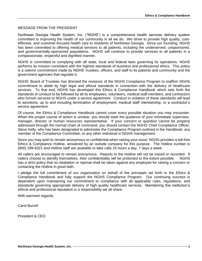#### <span id="page-3-0"></span>MESSAGE FROM THE PRESIDENT

Northeast Georgia Health System, Inc. ("NGHS") is a comprehensive health services delivery system committed to improving the health of our community in all we do. We strive to provide high quality, costeffective, and customer-focused health care to residents of Northeast Georgia. Since our founding, NGHS has been committed to offering medical services to all patients, including the underserved, unsponsored, and governmentally-sponsored populations. NGHS will continue to provide services to all patients in a compassionate, respectful and dignified manner.

NGHS is committed to complying with all state, local and federal laws governing its operations. NGHS performs its mission consistent with the highest standards of business and professional ethics. This policy is a solemn commitment made by NGHS' trustees, officers, and staff to its patients and community and the government agencies that regulate it.

NGHS' Board of Trustees has directed the revisions of the NGHS Compliance Program to reaffirm NGHS commitment to abide by high legal and ethical standards in connection with the delivery of healthcare services. To that end, NGHS has developed this Ethics & Compliance Handbook which sets forth the standards of conduct to be followed by all its employees, volunteers, medical staff members, and contractors who furnish services to NGHS under a service agreement. Conduct in violation of these standards will lead to sanctions, up to and including termination of employment, medical staff membership, or a contractor's service agreement.

Of course, the Ethics & Compliance Handbook cannot cover every possible situation you may encounter. When the proper course of action is unclear, you should seek the guidance of your immediate supervisor, manager, director or human resources representative. If your concern or question cannot be properly addressed through the normal chain of command, you should contact the NGHS Chief Compliance Officer, Steve Kelly, who has been designated to administer the Compliance Program outlined in the Handbook, any member of the Compliance Committee, or any other individual in NGHS management.

Since you may wish to remain anonymous or confidential when raising your issue; NGHS provides a toll-free Ethics & Compliance Hotline, answered by an outside company for this purpose. The Hotline number is (800) 299-6321 and Hotline staff are available to take calls 24 hours a day, 7 days a week.

All callers are encouraged to remain anonymous. Reports to the Hotline will not be traced or recorded. If callers choose to identify themselves, their confidentiality will be protected to the extent possible. NGHS has a strict policy that no retaliation or reprisal shall be taken against any employee for raising a concern or contacting the Hotline in good faith.

I pledge the full commitment of our organization on behalf of the principals set forth in the Ethics & Compliance Handbook and fully support the NGHS Compliance Program. Our continuing success is dependent upon maintaining our commitment to compliance with all applicable rules, regulations, and standards governing appropriate delivery of high quality healthcare services. Maintaining this institution's ethical and professional reputation is a responsibility we all share.

With warmest regards,

Carol Burrell

President & CEO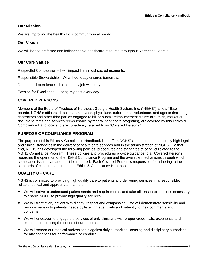## **Our Mission**

We are improving the health of our community in all we do.

## **Our Vision**

We will be the preferred and indispensable healthcare resource throughout Northeast Georgia

## **Our Core Values**

Respectful Compassion – I will impact life's most sacred moments.

Responsible Stewardship – What I do today ensures tomorrow.

Deep Interdependence – I can't do my job without you

Passion for Excellence – I bring my best every day.

## **COVERED PERSONS**

Members of the Board of Trustees of Northeast Georgia Health System, Inc. ("NGHS"), and affiliate boards, NGHS's officers, directors, employees, physicians, subsidiaries, volunteers, and agents (including contractors and other third parties engaged to bill or submit reimbursement claims or furnish, market or document items and services reimbursable by federal healthcare programs), are covered by this Ethics & Compliance Handbook and are collectively referred to as "Covered Persons."

## <span id="page-4-0"></span>**PURPOSE OF COMPLIANCE PROGRAM**

The purpose of this Ethics & Compliance Handbook is to affirm NGHS's commitment to abide by high legal and ethical standards in the delivery of health care services and in the administration of NGHS. To that end, NGHS has developed the following policies, procedures and standards of conduct related to the NGHS Compliance Program. These policies and procedures provide guidance to all Covered Persons regarding the operation of the NGHS Compliance Program and the available mechanisms through which compliance issues can and must be reported. Each Covered Person is responsible for adhering to the standards of conduct set forth in the Ethics & Compliance Handbook.

## **QUALITY OF CARE**

NGHS is committed to providing high quality care to patients and delivering services in a responsible, reliable, ethical and appropriate manner.

- We will strive to understand patient needs and requirements, and take all reasonable actions necessary to enable NGHS to provide high quality services.
- We will treat every patient with dignity, respect and compassion. We will demonstrate sensitivity and responsiveness to patients' needs by listening attentively and patiently to their comments and concerns.
- We will endeavor to engage the services of only clinicians with proper credentials, experience and expertise in meeting the needs of our patients.
- We will screen our medical professionals against duly authorized licensing and disciplinary authorities for any sanctions for performance or conduct.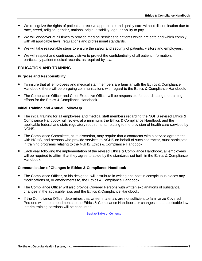- We recognize the rights of patients to receive appropriate and quality care without discrimination due to race, creed, religion, gender, national origin, disability, age, or ability to pay.
- We will endeavor at all times to provide medical services to patients which are safe and which comply with all applicable laws, regulations and professional standards.
- We will take reasonable steps to ensure the safety and security of patients, visitors and employees.
- We will respect and continuously strive to protect the confidentiality of all patient information, particularly patient medical records, as required by law.

## <span id="page-5-0"></span>**EDUCATION AND TRAINING**

#### **Purpose and Responsibility**

- To insure that all employees and medical staff members are familiar with the Ethics & Compliance Handbook, there will be on-going communications with regard to the Ethics & Compliance Handbook.
- The Compliance Officer and Chief Executive Officer will be responsible for coordinating the training efforts for the Ethics & Compliance Handbook.

#### **Initial Training and Annual Follow-Up**

- The initial training for all employees and medical staff members regarding the NGHS revised Ethics & Compliance Handbook will review, at a minimum, the Ethics & Compliance Handbook and the applicable federal and state regulatory requirements relating to the provision of health care services by NGHS.
- The Compliance Committee, at its discretion, may require that a contractor with a service agreement with NGHS, and persons who provide services to NGHS on behalf of such contractor, must participate in training programs relating to the NGHS Ethics & Compliance Handbook.
- Each year following the implementation of the revised Ethics & Compliance Handbook, all employees will be required to affirm that they agree to abide by the standards set forth in the Ethics & Compliance Handbook.

#### **Communication of Changes in Ethics & Compliance Handbook**

- The Compliance Officer, or his designee, will distribute in writing and post in conspicuous places any modifications of, or amendments to, the Ethics & Compliance Handbook.
- The Compliance Officer will also provide Covered Persons with written explanations of substantial changes in the applicable laws and the Ethics & Compliance Handbook.
- If the Compliance Officer determines that written materials are not sufficient to familiarize Covered Persons with the amendments to the Ethics & Compliance Handbook, or changes in the applicable law, interim training sessions will be conducted.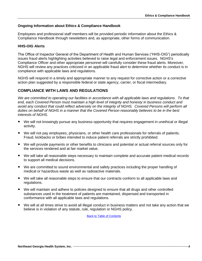#### **Ongoing Information about Ethics & Compliance Handbook**

Employees and professional staff members will be provided periodic information about the Ethics & Compliance Handbook through newsletters and, as appropriate, other forms of communication.

#### **HHS-OIG Alerts**

The Office of Inspector General of the Department of Health and Human Services ("HHS-OIG") periodically issues fraud alerts highlighting activities believed to raise legal and enforcement issues. NGHS's Compliance Officer and other appropriate personnel will carefully consider these fraud alerts. Moreover, NGHS will review any practices criticized in an applicable fraud alert to determine whether its conduct is in compliance with applicable laws and regulations.

NGHS will respond in a timely and appropriate manner to any request for corrective action or a corrective action plan suggested by a responsible federal or state agency, carrier, or fiscal intermediary.

## <span id="page-6-0"></span>**COMPLIANCE WITH LAWS AND REGULATIONS**

We are committed to operating our facilities in accordance with all applicable laws and regulations. To that *end, each Covered Person must maintain a high level of integrity and honesty in business conduct and*  avoid any conduct that could reflect adversely on the integrity of NGHS. Covered Persons will perform all *duties on behalf of NGHS in a manner that the Covered Person reasonably believes to be in the best interests of NGHS.*

- We will not knowingly pursue any business opportunity that requires engagement in unethical or illegal activity.
- We will not pay employees, physicians, or other health care professionals for referrals of patients. Fraud, kickbacks or bribes intended to induce patient referrals are strictly prohibited.
- We will provide payments or other benefits to clinicians and potential or actual referral sources only for the services rendered and at fair market value.
- We will take all reasonable steps necessary to maintain complete and accurate patient medical records to support all medical decisions.
- We are committed to sound environmental and safety practices including the proper handling of medical or hazardous waste as well as radioactive materials.
- We will take all reasonable steps to ensure that our contracts conform to all applicable laws and regulations.
- We will maintain and adhere to policies designed to ensure that all drugs and other controlled substances used in the treatment of patients are maintained, dispensed and transported in conformance with all applicable laws and regulations.
- We will at all times strive to avoid all illegal conduct in business matters and not take any action that we believe is in violation of any statute, rule, regulation or NGHS policy.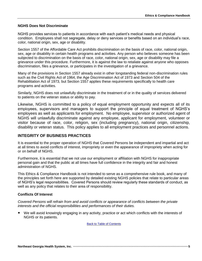#### **NGHS Does Not Discriminate**

NGHS provides services to patients in accordance with each patient's medical needs and physical condition. Employees shall not segregate, delay or deny services or benefits based on an individual's race, color, national origin, sex, age or disability.

Section 1557 of the Affordable Care Act prohibits discrimination on the basis of race, color, national origin, sex, age or disability in certain health programs and activities. Any person who believes someone has been subjected to discrimination on the basis of race, color, national origin, sex, age or disability may file a grievance under this procedure. Furthermore, it is against the law to retaliate against anyone who opposes discrimination, files a grievance, or participates in the investigation of a grievance.

Many of the provisions in Section 1557 already exist in other longstanding federal non-discrimination rules such as the Civil Rights Act of 1964, the Age Discrimination Act of 1973 and Section 504 of the Rehabilitation Act of 1973, but Section 1557 applies these requirements specifically to health care programs and activities.

Similarly, NGHS does not unlawfully discriminate in the treatment of or in the quality of services delivered to patients on the veteran status or ability to pay.

Likewise, NGHS is committed to a policy of equal employment opportunity and expects all of its employees, supervisors and managers to support the principle of equal treatment of NGHS's employees as well as applicants for employment. No employee, supervisor or authorized agent of NGHS will unlawfully discriminate against any employee, applicant for employment, volunteer or visitor because of race, color, religion, sex (including pregnancy), national origin, citizenship, disability or veteran status. This policy applies to all employment practices and personnel actions.

## <span id="page-7-0"></span>**INTEGRITY OF BUSINESS PRACTICES**

It is essential to the proper operation of NGHS that Covered Persons be independent and impartial and act at all times to avoid conflicts of interest, impropriety or even the appearance of impropriety when acting for or on behalf of NGHS.

Furthermore, it is essential that we not use our employment or affiliation with NGHS for inappropriate personal gain and that the public at all times have full confidence in the integrity and fair and honest administration of NGHS.

This Ethics & Compliance Handbook is not intended to serve as a comprehensive rule book, and many of the principles set forth here are supported by detailed existing NGHS policies that relate to particular areas of NGHS's legal responsibilities. Covered Persons should review regularly these standards of conduct, as well as any policy that relates to their area of responsibility.

## <span id="page-7-1"></span>**Conflicts Of Interest**

*Covered Persons will refrain from and avoid conflicts or appearance of conflicts between the private interests and the official responsibilities and performances of their duties.*

 We will avoid knowingly engaging in any activity, practice or act which conflicts with the interests of NGHS or its patients.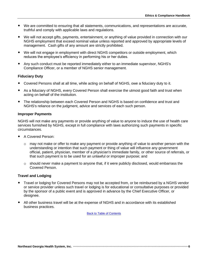- We are committed to ensuring that all statements, communications, and representations are accurate, truthful and comply with applicable laws and regulations.
- We will not accept gifts, payments, entertainment, or anything of value provided in connection with our NGHS employment that exceed nominal value unless reported and approved by appropriate levels of management. Cash gifts of any amount are strictly prohibited.
- We will not engage in employment with direct NGHS competitors or outside employment, which reduces the employee's efficiency in performing his or her duties.
- Any such conduct must be reported immediately either to an immediate supervisor, NGHS's Compliance Officer, or a member of NGHS senior management.

#### <span id="page-8-0"></span>**Fiduciary Duty**

- Covered Persons shall at all time, while acting on behalf of NGHS, owe a fiduciary duty to it.
- As a fiduciary of NGHS, every Covered Person shall exercise the utmost good faith and trust when acting on behalf of the institution.
- The relationship between each Covered Person and NGHS is based on confidence and trust and NGHS's reliance on the judgment, advice and services of each such person.

#### <span id="page-8-1"></span>**Improper Payments**

NGHS will not make any payments or provide anything of value to anyone to induce the use of health care services furnished by NGHS, except in full compliance with laws authorizing such payments in specific circumstances.

- A Covered Person:
	- $\circ$  may not make or offer to make any payment or provide anything of value to another person with the understanding or intention that such payment or thing of value will influence any government official, patient, physician, member of a physician's immediate family, or other source of referrals, or that such payment is to be used for an unlawful or improper purpose; and
	- $\circ$  should never make a payment to anyone that, if it were publicly disclosed, would embarrass the Covered Person.

#### <span id="page-8-2"></span>**Travel and Lodging**

- Travel or lodging for Covered Persons may not be accepted from, or be reimbursed by a NGHS vendor or service provider unless such travel or lodging is for educational or consultative purposes or provided by the sponsor of a public event and is approved in advance by the Chief Executive Officer, or designee.
- All other business travel will be at the expense of NGHS and in accordance with its established business practices.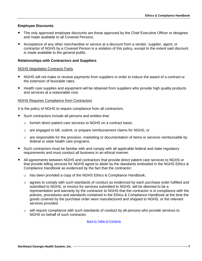#### <span id="page-9-0"></span>**Employee Discounts**

- The only approved employee discounts are those approved by the Chief Executive Officer or designee and made available to all Covered Persons.
- Acceptance of any other merchandise or service at a discount from a vendor, supplier, agent, or contractor of NGHS by a Covered Person is a violation of this policy, except to the extent said discount is made available to the general public.

#### <span id="page-9-1"></span>**Relationships with Contractors and Suppliers**

#### NGHS Negotiates Contracts Fairly

- NGHS will not make or receive payments from suppliers in order to induce the award of a contract or the extension of favorable rates.
- Health care supplies and equipment will be obtained from suppliers who provide high quality products and services at a reasonable cost.

#### NGHS Requires Compliance from Contractors

It is the policy of NGHS to require compliance from all contractors.

- Such contractors include all persons and entities that:
	- o furnish direct patient care services to NGHS on a contract basis;
	- o are engaged to bill, submit, or prepare reimbursement claims for NGHS; or
	- $\circ$  are responsible for the provision, marketing or documentation of items or services reimbursable by federal or state health care programs.
- Such contractors must be familiar with and comply with all applicable federal and state regulatory requirements and must conduct all business in an ethical manner.
- All agreements between NGHS and contractors that provide direct patient care services to NGHS or that provide billing services for NGHS agree to abide by the standards embodied in the NGHS Ethics & Compliance Handbook as evidenced by the fact that the contractor:
	- o has been provided a copy of the NGHS Ethics & Compliance Handbook;
	- $\circ$  agrees to comply with such standards of conduct as evidenced by each purchase order fulfilled and submitted to NGHS, or invoice for services submitted to NGHS, will be deemed to be a representation and warranty by the contractor to NGHS that the contractor is in compliance with the policies, procedures and standards contained in the Ethics & Compliance Handbook at the time the goods covered by the purchase order were manufactured and shipped to NGHS, or the relevant services provided.
	- o will require compliance with such standards of conduct by all persons who provide services to NGHS on behalf of such contractor.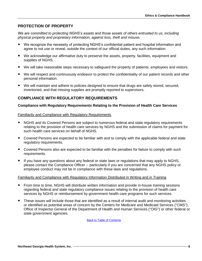## <span id="page-10-0"></span>**PROTECTION OF PROPERTY**

*We are committed to protecting NGHS's assets and those assets of others entrusted to us, including physical property and proprietary information, against loss, theft and misuse.*

- We recognize the necessity of protecting NGHS's confidential patient and hospital information and agree to not use or reveal, outside the context of our official duties, any such information.
- We acknowledge our affirmative duty to preserve the assets, property, facilities, equipment and supplies of NGHS.
- We will take reasonable steps necessary to safeguard the property of patients, employees and visitors.
- We will respect and continuously endeavor to protect the confidentiality of our patient records and other personal information.
- We will maintain and adhere to policies designed to ensure that drugs are safely stored, secured, inventoried, and that missing supplies are promptly reported to supervisors.

## <span id="page-10-1"></span>**COMPLIANCE WITH REGULATORY REQUIREMENTS**

#### **Compliance with Regulatory Requirements Relating to the Provision of Health Care Services**

## Familiarity and Compliance with Regulatory Requirements

- NGHS and its Covered Persons are subject to numerous federal and state regulatory requirements relating to the provision of health care services by NGHS and the submission of claims for payment for such health care services on behalf of NGHS.
- Covered Persons are expected to be familiar with and to comply with the applicable federal and state regulatory requirements.
- Covered Persons also are expected to be familiar with the penalties for failure to comply with such requirements.
- If you have any questions about any federal or state laws or regulations that may apply to NGHS, please contact the Compliance Officer -- particularly if you are concerned that any NGHS policy or employee conduct may not be in compliance with these laws and regulations.

#### Familiarity and Compliance with Regulatory Information Distributed in Writing and in Training

- From time to time, NGHS will distribute written information and provide in-house training sessions regarding federal and state regulatory compliance issues relating to the provision of health care services by NGHS or reimbursement by government health care programs for such services.
- These issues will include those that are identified as a result of internal audit and monitoring activities or identified as potential areas of concern by the Centers for Medicare and Medicaid Services ("CMS"), Office of Inspector General of the Department of Health and Human Services ("OIG") or other federal or state government agencies.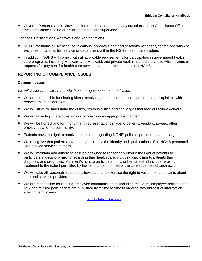Covered Persons shall review such information and address any questions to the Compliance Officer, the Compliance Hotline or his or her immediate supervisor.

#### Licenses, Certifications, Approvals and Accreditations

- NGHS maintains all licenses, certifications, approvals and accreditations necessary for the operation of each health care facility, service or department within the NGHS health care system.
- In addition, NGHS will comply with all applicable requirements for participation in government health care programs, including Medicare and Medicaid, and private health insurance plans to which claims or requests for payment for health care services are submitted on behalf of NGHS.

## <span id="page-11-0"></span>**REPORTING OF COMPLIANCE ISSUES**

#### **Communication**

*We will foster an environment which encourages open communication.*

- We are responsible for sharing ideas, resolving problems or concerns and treating all opinions with respect and consideration.
- We will strive to understand the duties, responsibilities and challenges that face our fellow workers.
- We will raise legitimate questions or concerns in an appropriate manner.
- We will be honest and forthright in any representations made to patients, vendors, payers, other employees and the community.
- Patients have the right to receive information regarding NGHS' policies, procedures and charges.
- We recognize that patients have the right to know the identity and qualifications of all NGHS personnel who provide services to them.
- We will maintain and adhere to policies designed to reasonably ensure the right of patients to participate in decision-making regarding their health care, including disclosing to patients their diagnosis and prognosis. A patient's right to participate in his or her care shall include refusing treatment to the extent permitted by law, and to be informed of the consequences of such action.
- We will take all reasonable steps to allow patients to exercise the right to voice their complaints about care and services provided.
- We are responsible for reading employee communications, including mail outs, employee notices and new and revised policies that are published from time to time in order to stay abreast of information affecting employees.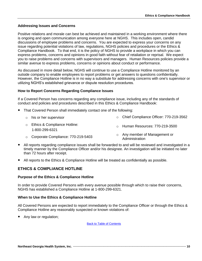## **Addressing Issues and Concerns**

Positive relations and morale can best be achieved and maintained in a working environment where there is ongoing and open communication among everyone here at NGHS. This includes open, candid discussions of employee problems and concerns. You are expected to express your concerns on any issue regarding potential violations of law, regulations, NGHS policies and procedures or the Ethics & Compliance Handbook. To that end, it is the policy of NGHS to provide a workplace in which you can express problems, concerns and opinions in good faith without fear of retaliation or reprisal. We expect you to raise problems and concerns with supervisors and managers. Human Resources policies provide a similar avenue to express problems, concerns or opinions about conduct or performance.

As discussed in more detail below, NGHS will continue to use a Compliance Hotline monitored by an outside company to enable employees to report problems or get answers to questions confidentially. However, the Compliance Hotline is in no way a substitute for addressing concerns with one's supervisor or utilizing NGHS's established grievance or dispute resolution procedures.

## **How to Report Concerns Regarding Compliance Issues**

If a Covered Person has concerns regarding any compliance issue, including any of the standards of conduct and policies and procedures described in this Ethics & Compliance Handbook:

- That Covered Person shall immediately contact one of the following:
	- o his or her supervisor o Chief Compliance Officer: 770-219-3562
	- o Ethics & Compliance Hotline: 1-800-299-6321 o Human Resources: 770-219-3500
	-
	- <sup>o</sup> Corporate Compliance: 770-219-5403 <sup>o</sup> Any member of Management or Administration
- All reports regarding compliance issues shall be forwarded to and will be reviewed and investigated in a timely manner by the Compliance Officer and/or his designee. An investigation will be initiated no later than 72 hours after receipt.
- All reports to the Ethics & Compliance Hotline will be treated as confidentially as possible.

## <span id="page-12-0"></span>**ETHICS & COMPLIANCE HOTLINE**

## **Purpose of the Ethics & Compliance Hotline**

In order to provide Covered Persons with every avenue possible through which to raise their concerns, NGHS has established a Compliance Hotline at 1-800-299-6321.

## **When to Use the Ethics & Compliance Hotline**

All Covered Persons are expected to report immediately to the Compliance Officer or through the Ethics & Compliance Hotline any reasonably suspected or known violations of:

Any law or regulation;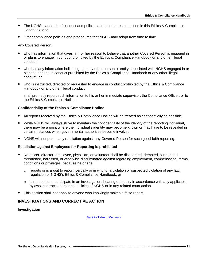- The NGHS standards of conduct and policies and procedures contained in this Ethics & Compliance Handbook; and
- Other compliance policies and procedures that NGHS may adopt from time to time.

#### Any Covered Person:

- who has information that gives him or her reason to believe that another Covered Person is engaged in or plans to engage in conduct prohibited by the Ethics & Compliance Handbook or any other illegal conduct;
- who has any information indicating that any other person or entity associated with NGHS engaged in or plans to engage in conduct prohibited by the Ethics & Compliance Handbook or any other illegal conduct; or
- who is instructed, directed or requested to engage in conduct prohibited by the Ethics & Compliance Handbook or any other illegal conduct;

shall promptly report such information to his or her immediate supervisor, the Compliance Officer, or to the Ethics & Compliance Hotline.

#### **Confidentiality of the Ethics & Compliance Hotline**

- All reports received by the Ethics & Compliance Hotline will be treated as confidentially as possible.
- While NGHS will always strive to maintain the confidentiality of the identity of the reporting individual, there may be a point where the individual's identity may become known or may have to be revealed in certain instances when governmental authorities become involved.
- NGHS will not permit any retaliation against any Covered Person for such good-faith reporting.

#### **Retaliation against Employees for Reporting is prohibited**

- No officer, director, employee, physician, or volunteer shall be discharged, demoted, suspended, threatened, harassed, or otherwise discriminated against regarding employment, compensation, terms, conditions or privileges, because he or she:
	- o reports or is about to report, verbally or in writing, a violation or suspected violation of any law, regulation or NGHS's Ethics & Compliance Handbook; or
	- $\circ$  is requested to participate in an investigation, hearing or inquiry in accordance with any applicable bylaws, contracts, personnel policies of NGHS or in any related court action.
- This section shall not apply to anyone who knowingly makes a false report.

## <span id="page-13-0"></span>**INVESTIGATIONS AND CORRECTIVE ACTION**

#### **Investigation**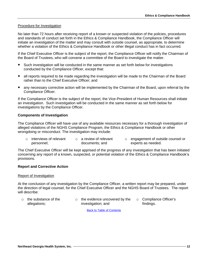#### Procedure for Investigation

No later than 72 hours after receiving report of a known or suspected violation of the policies, procedures and standards of conduct set forth in the Ethics & Compliance Handbook, the Compliance Officer will initiate an investigation of the matter and may consult with outside counsel, as appropriate, to determine whether a violation of the Ethics & Compliance Handbook or other illegal conduct has in fact occurred.

If the Chief Executive Officer is the subject of the report, the Compliance Officer will notify the Chairman of the Board of Trustees, who will convene a committee of the Board to investigate the matter.

- Such investigation will be conducted in the same manner as set forth below for investigations conducted by the Compliance Officer, except that:
- all reports required to be made regarding the investigation will be made to the Chairman of the Board rather than to the Chief Executive Officer; and
- any necessary corrective action will be implemented by the Chairman of the Board, upon referral by the Compliance Officer.

If the Compliance Officer is the subject of the report, the Vice-President of Human Resources shall initiate an investigation. Such investigation will be conducted in the same manner as set forth below for investigations by the Compliance Officer.

## **Components of Investigation**

The Compliance Officer will have use of any available resources necessary for a thorough investigation of alleged violations of the NGHS Compliance Program, the Ethics & Compliance Handbook or other wrongdoing or misconduct. The investigation may include:

o interviews of relevant personnel; o a review of relevant documents; and o engagement of outside counsel or experts as needed.

The Chief Executive Officer will be kept apprised of the progress of any investigation that has been initiated concerning any report of a known, suspected, or potential violation of the Ethics & Compliance Handbook's provisions.

## **Report and Corrective Action**

#### Report of Investigation

At the conclusion of any investigation by the Compliance Officer, a written report may be prepared, under the direction of legal counsel, for the Chief Executive Officer and the NGHS Board of Trustees. The report will describe:

o the substance of the allegations; o the evidence uncovered by the investigation; and o Compliance Officer's findings.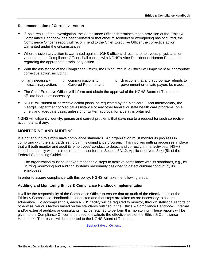## **Recommendation of Corrective Action**

- If, as a result of the investigation, the Compliance Officer determines that a provision of the Ethics & Compliance Handbook has been violated or that other misconduct or wrongdoing has occurred, the Compliance Officer's report will recommend to the Chief Executive Officer the corrective action warranted under the circumstances.
- Where disciplinary action is warranted against NGHS officers, directors, employees, physicians, or volunteers, the Compliance Officer shall consult with NGHS's Vice President of Human Resources regarding the appropriate disciplinary action.
- With the assistance of the Compliance Officer, the Chief Executive Officer will implement all appropriate corrective action, including:
	- o any necessary disciplinary action; o communications to Covered Persons; and o directions that any appropriate refunds to government or private payers be made.
- The Chief Executive Officer will inform and obtain the approval of the NGHS Board of Trustees or affiliate boards as necessary.
- NGHS will submit all corrective action plans, as requested by the Medicare Fiscal Intermediary, the Georgia Department of Medical Assistance or any other federal or state health care programs, on a timely and adequate basis, unless prior written approval for a delay is obtained.

NGHS will diligently identify, pursue and correct problems that gave rise to a request for such corrective action plans, if any.

## <span id="page-15-0"></span>**MONITORING AND AUDITING**

It is not enough to simply have compliance standards. An organization must monitor its progress in complying with the standards set forth in its compliance program. This involves putting processes in place that will both monitor and audit its employees' conduct to detect and correct criminal activities. NGHS intends to comply with this requirement as set forth in Section 8A1.2, Application Note 3 (k) (5), of the Federal Sentencing Guidelines:

The organization must have taken reasonable steps to achieve compliance with its standards, e.g., by utilizing monitoring and auditing systems reasonably designed to detect criminal conduct by its employees.

In order to assure compliance with this policy, NGHS will take the following steps:

#### **Auditing and Monitoring Ethics & Compliance Handbook Implementation**

It will be the responsibility of the Compliance Officer to ensure that an audit of the effectiveness of the Ethics & Compliance Handbook is conducted and that steps are taken as are necessary to assure adherence. To accomplish this, each NGHS facility will be required to monitor, through statistical reports or otherwise, various factors based on the standards outlined in the Ethics & Compliance Handbook. Internal and/or external auditors or consultants may be retained to perform this monitoring. These reports will be given to the Compliance Officer to be used to evaluate the effectiveness of the Ethics & Compliance Handbook. The results will be reported to the NGHS Board of Trustees.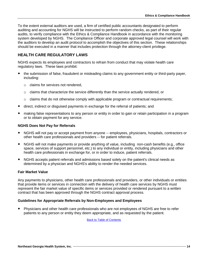To the extent external auditors are used, a firm of certified public accountants designated to perform auditing and accounting for NGHS will be instructed to perform random checks, as part of their regular audits, to verify compliance with the Ethics & Compliance Handbook in accordance with the monitoring system developed by NGHS. The Compliance Officer and corporate approved legal counsel will work with the auditors to develop an audit protocol to accomplish the objectives of this section. These relationships should be executed in a manner that includes protection through the attorney-client privilege.

## <span id="page-16-0"></span>**HEALTH CARE REGULATORY LAWS**

NGHS expects its employees and contractors to refrain from conduct that may violate health care regulatory laws. These laws prohibit:

- the submission of false, fraudulent or misleading claims to any government entity or third-party payer, including:
	- o claims for services not rendered,
	- $\circ$  claims that characterize the service differently than the service actually rendered, or
	- $\circ$  claims that do not otherwise comply with applicable program or contractual requirements;
- direct, indirect or disguised payments in exchange for the referral of patients; and
- making false representations to any person or entity in order to gain or retain participation in a program or to obtain payment for any service.

#### <span id="page-16-1"></span>**NGHS Does Not Pay for Referrals**

- NGHS will not pay or accept payment from anyone -- employees, physicians, hospitals, contractors or other health care professionals and providers -- for patient referrals.
- NGHS will not make payments or provide anything of value, including non-cash benefits (e.g., office space, services of support personnel, etc.) to any individual or entity, including physicians and other health care professionals in exchange for, or in order to induce, patient referrals.
- NGHS accepts patient referrals and admissions based solely on the patient's clinical needs as determined by a physician and NGHS's ability to render the needed services.

#### **Fair Market Value**

Any payments to physicians, other health care professionals and providers, or other individuals or entities that provide items or services in connection with the delivery of health care services by NGHS must represent the fair market value of specific items or services provided or rendered pursuant to a written contract that has been approved through the NGHS contract approval process.

#### **Guidelines for Appropriate Referrals by Non-Employees and Employees**

 Physicians and other health care professionals who are not employees of NGHS are free to refer patients to any person or entity they deem appropriate, and as requested by the patient.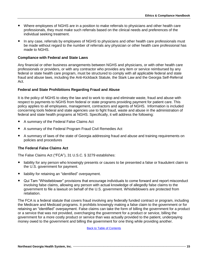- Where employees of NGHS are in a position to make referrals to physicians and other health care professionals, they must make such referrals based on the clinical needs and preferences of the individual seeking treatment.
- In any case, referrals by employees of NGHS to physicians and other health care professionals must be made without regard to the number of referrals any physician or other health care professional has made to NGHS.

#### <span id="page-17-0"></span>**Compliance with Federal and State Laws**

Any financial or other business arrangements between NGHS and physicians, or with other health care professionals or providers, or with any contractor who provides any item or service reimbursed by any federal or state health care program, must be structured to comply with all applicable federal and state fraud and abuse laws, including the Anti-Kickback Statute, the Stark Law and the Georgia Self-Referral Act.

#### **Federal and State Prohibitions Regarding Fraud and Abuse**

It is the policy of NGHS to obey the law and to work to stop and eliminate waste, fraud and abuse with respect to payments to NGHS from federal or state programs providing payment for patient care. This policy applies to all employees, management, contractors and agents of NGHS. Information is included concerning tools federal and state agencies use to fight fraud, waste and abuse in the administration of federal and state health programs at NGHS. Specifically, it will address the following:

- A summary of the Federal False Claims Act
- A summary of the Federal Program Fraud Civil Remedies Act
- A summary of laws of the state of Georgia addressing fraud and abuse and training requirements on policies and procedures

#### <span id="page-17-1"></span>**The Federal False Claims Act**

The False Claims Act ("FCA"), 31 U.S.C. § 3279 establishes:

- liability for any person who knowingly presents or causes to be presented a false or fraudulent claim to the U.S. government for payment.
- liability for retaining an "identified" overpayment.
- Qui Tam "Whistleblower" provisions that encourage individuals to come forward and report misconduct involving false claims, allowing any person with actual knowledge of allegedly false claims to the government to file a lawsuit on behalf of the U.S. government. Whistleblowers are protected from retaliation.

The FCA is a federal statute that covers fraud involving any federally funded contract or program, including the Medicare and Medicaid programs. It prohibits knowingly making a false claim to the government or for retaining an "identified" overpayment. False claims can take the form of billing the government for a product or a service that was not provided, overcharging the government for a product or service, billing the government for a more costly product or service than was actually provided to the patient, underpaying money owed to the government and billing the government for one thing while providing another.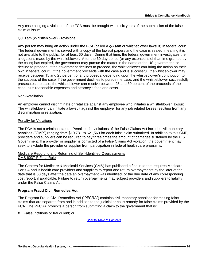Any case alleging a violation of the FCA must be brought within six years of the submission of the false claim at issue.

#### Qui Tam (Whistleblower) Provisions

Any person may bring an action under the FCA (called a *qui tam* or whistleblower lawsuit) in federal court. The federal government is served with a copy of the lawsuit papers and the case is sealed, meaning it is not available to the public, for at least 60 days. During that time, the federal government investigates the allegations made by the whistleblower. After the 60 day period (or any extensions of that time granted by the court) has expired, the government may pursue the matter in the name of the US government, or decline to proceed. If the government declines to proceed, the whistleblower can bring the action on their own in federal court. If the government proceeds with the case and is successful, the whistleblower may receive between 15 and 25 percent of any proceeds, depending upon the whistleblower's contribution to the success of the case. If the government declines to pursue the case, and the whistleblower successfully prosecutes the case, the whistleblower can receive between 25 and 30 percent of the proceeds of the case, plus reasonable expenses and attorney's fees and costs.

#### Non-Retaliation

An employer cannot discriminate or retaliate against any employee who initiates a whistleblower lawsuit. The whistleblower can initiate a lawsuit against the employer for any job related losses resulting from any discrimination or retaliation.

#### Penalty for Violations

The FCA is not a criminal statute. Penalties for violations of the False Claims Act include civil monetary penalties ("CMP") ranging from \$10,781 to \$21,563 for each false claim submitted. In addition to this CMP, providers and suppliers can be required to pay three times the amount of damages sustained by the U.S. Government. If a provider or supplier is convicted of a False Claims Act violation, the government may seek to exclude the provider or supplier from participation in federal health care programs.

#### Medicare Reporting and Returning of Self-Identified Overpayments CMS 6037-F Final Rule

The Centers for Medicare & Medicaid Services (CMS) has published a final rule that requires Medicare Parts A and B health care providers and suppliers to report and return overpayments by the later of the date that is 60 days after the date an overpayment was identified, or the due date of any corresponding cost report, if applicable. Failure to return overpayments may subject providers and suppliers to liability under the False Claims Act.

#### <span id="page-18-0"></span>**Program Fraud Civil Remedies Act**

The Program Fraud Civil Remedies Act ("PFCRA") contains civil monetary penalties for making false claims that are separate from and in addition to the judicial or court remedy for false claims provided by the FCA. The PFCRA prohibits a person from submitting a claim to the government that is:

False, fictitious or fraudulent; or,

**Back t[o Table of Contents](#page-2-0)**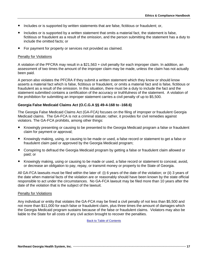- Includes or is supported by written statements that are false, fictitious or fraudulent; or,
- Includes or is supported by a written statement that omits a material fact, the statement is false, fictitious or fraudulent as a result of the omission, and the person submitting the statement has a duty to include the omitted facts; or
- For payment for property or services not provided as claimed.

#### Penalty for Violations

A violation of the PFCRA may result in a \$21,563 + civil penalty for each improper claim. In addition, an assessment of two times the amount of the improper claim may be made, unless the claim has not actually been paid.

A person also violates the PFCRA if they submit a written statement which they know or should know asserts a material fact which is false, fictitious or fraudulent, or omits a material fact and is false, fictitious or fraudulent as a result of the omission. In this situation, there must be a duty to include the fact and the statement submitted contains a certification of the accuracy or truthfulness of the statement. A violation of the prohibition for submitting an improper statement carries a civil penalty of up to \$5,500.

#### <span id="page-19-0"></span>**Georgia False Medicaid Claims Act (O.C.G.A §§ 49-4-168 to -168.6)**

The Georgia False Medicaid Claims Act (GA-FCA) focuses on the filing of improper or fraudulent Georgia Medicaid claims. The GA-FCA is not a criminal statute; rather, it provides for civil remedies against violators. The GA-FCA prohibits, among other things:

- Knowingly presenting or causing to be presented to the Georgia Medicaid program a false or fraudulent claim for payment or approval;
- Knowingly making, using, or causing to be made or used, a false record or statement to get a false or fraudulent claim paid or approved by the Georgia Medicaid program;
- Conspiring to defraud the Georgia Medicaid program by getting a false or fraudulent claim allowed or paid; or
- Knowingly making, using or causing to be made or used, a false record or statement to conceal, avoid, or decrease an obligation to pay, repay, or transmit money or property to the State of Georgia.

All GA-FCA lawsuits must be filed within the later of: (i) 6 years of the date of the violation; or (ii) 3 years of the date when material facts of the violation are or reasonably should have been known by the state official responsible to act under the circumstances. No GA-FCA lawsuit may be filed more than 10 years after the date of the violation that is the subject of the lawsuit.

#### Penalty for Violations

Any individual or entity that violates the GA-FCA may be fined a civil penalty of not less than \$5,500 and not more than \$11,000 for each false or fraudulent claim, plus three times the amount of damages which the Georgia Medicaid program sustains because of the false or fraudulent claims. Violators may also be liable to the State for all costs of any civil action brought to recover the penalties.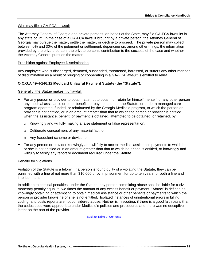#### Who may file a GA-FCA Lawsuit

The Attorney General of Georgia and private persons, on behalf of the State, may file GA-FCA lawsuits in any state court. In the case of a GA-FCA lawsuit brought by a private person, the Attorney General of Georgia may pursue the matter, settle the matter, or decline to proceed. The private person may collect between 0% and 30% of the judgment or settlement, depending on, among other things, the information provided by the private person, the private person's contribution to the success of the case and whether the Attorney General pursues the matter.

#### Prohibition against Employee Discrimination

Any employee who is discharged, demoted, suspended, threatened, harassed, or suffers any other manner of discrimination as a result of bringing or cooperating in a GA-FCA lawsuit is entitled to relief.

## <span id="page-20-0"></span>**O.C.G.A 49-4-146.12 Medicaid Unlawful Payment Statute (the "Statute").**

#### Generally, the Statue makes it unlawful:

- For any person or provider to obtain, attempt to obtain, or retain for himself, herself, or any other person any medical assistance or other benefits or payments under the Statute, or under a managed care program operated, funded, or reimbursed by the Georgia Medicaid program, to which the person or provider is not entitled, or in an amount greater than that to which the person or provider is entitled, when the assistance, benefit, or payment is obtained, attempted to be obtained, or retained, by:
	- o Knowingly and willfully making a false statement or false representation;
	- o Deliberate concealment of any material fact; or
	- o Any fraudulent scheme or device; or
- For any person or provider knowingly and willfully to accept medical assistance payments to which he or she is not entitled or in an amount greater than that to which he or she is entitled, or knowingly and willfully to falsify any report or document required under the Statute.

#### Penalty for Violations

Violation of the Statute is a felony. If a person is found guilty of a violating the Statute, they can be punished with a fine of not more than \$10,000 or by imprisonment for up to ten years, or both a fine and imprisonment.

In addition to criminal penalties, under the Statute, any person committing abuse shall be liable for a civil monetary penalty equal to two times the amount of any excess benefit or payment. "Abuse" is defined as knowingly obtaining or attempting to obtain medical assistance or other benefits or payments to which the person or provider knows he or she is not entitled. Isolated instances of unintentional errors in billing, coding, and costs reports are not considered abuse. Neither is miscoding, if there is a good faith basis **t**hat the codes used were appropriate under Medicaid's policies and procedures and there was no deceptive intent on the part of the provider.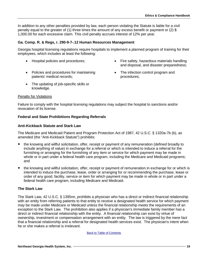In addition to any other penalties provided by law, each person violating the Statute is liable for a civil penalty equal to the greater of (1) three times the amount of any excess benefit or payment or (2) \$ 1,000.00 for each excessive claim. This civil penalty accrues interest of 12% per year.

## <span id="page-21-0"></span>**Ga. Comp. R. & Regs, r. 290-9-7-.12 Human Resources Management**

Georgia hospital licensing regulations require hospitals to implement a planned program of training for their employees, which includes at least the following:

- 
- Policies and procedures for maintaining patients' medical records;
- The updating of job-specific skills or knowledge.
- Hospital policies and procedures;  $\bullet$  Fire safety, hazardous materials handling and disposal, and disaster preparedness;
	- The infection control program and procedures;

#### Penalty for Violations

Failure to comply with the hospital licensing regulations may subject the hospital to sanctions and/or revocation of its license.

#### **Federal and State Prohibitions Regarding Referrals**

#### <span id="page-21-1"></span>**Anti-Kickback Statute and Stark Law**

The Medicare and Medicaid Patient and Program Protection Act of 1987, 42 U.S.C. § 1320a-7b (b), as amended (the "Anti-Kickback Statute") prohibits:

- the knowing and willful solicitation, offer, receipt or payment of any remuneration (defined broadly to include anything of value) in exchange for a referral or which is intended to induce a referral for the furnishing or arranging for the furnishing of any item or service for which payment may be made in whole or in part under a federal health care program, including the Medicare and Medicaid programs; and
- the knowing and willful solicitation, offer, receipt or payment of remuneration in exchange for or which is intended to induce the purchase, lease, order or arranging for or recommending the purchase, lease or order of any good, facility, service or item for which payment may be made in whole or in part under a federal health care program, including Medicare and Medicaid.

#### **The Stark Law**

The Stark Law, 42 U.S.C. § 1395nn, prohibits a physician who has a direct or indirect financial relationship with an entity from referring patients to that entity to receive a designated health service for which payment may be made under Medicare or Medicaid unless the financial relationship meets the requirements of an exception to the Stark Law. The prohibition also applies if a physician's immediate family member has a direct or indirect financial relationship with the entity. A financial relationship can exist by virtue of ownership, investment or compensation arrangement with an entity. The law is triggered by the mere fact that a financial relationship and a referral for designated health services exist. The physician's intent when he or she makes a referral is irrelevant.

#### Back t[o Table of Contents](#page-2-0)

**Northeast Georgia Health System, Inc. ·················································································································· 19**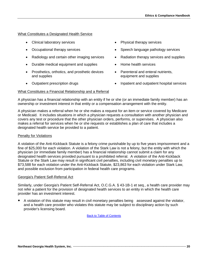#### What Constitutes a Designated Health Service

- Clinical laboratory services **Access 2008** Physical therapy services
- 
- Radiology and certain other imaging services Radiation therapy services and supplies
- Durable medical equipment and supplies Home health services
- Prosthetics, orthotics, and prosthetic devices and supplies
- 
- 
- Occupational therapy services **Supervices** Speech language pathology services
	-
	-
	- Parenteral and enteral nutrients, equipment and supplies
- Outpatient prescription drugs **Inpatient and outpatient hospital services**

## What Constitutes a Financial Relationship and a Referral

A physician has a financial relationship with an entity if he or she (or an immediate family member) has an ownership or investment interest in that entity or a compensation arrangement with the entity.

A physician makes a referral when he or she makes a request for an item or service covered by Medicare or Medicaid. It includes situations in which a physician requests a consultation with another physician and covers any test or procedure that the other physician orders, performs, or supervises. A physician also makes a referral for services when he or she requests or establishes a plan of care that includes a designated health service be provided to a patient.

#### Penalty for Violations

A violation of the Anti-Kickback Statute is a felony crime punishable by up to five years imprisonment and a fine of \$25,000 for each violation. A violation of the Stark Law is not a felony, but the entity with which the physician (or immediate family member) has a financial relationship cannot submit a claim for any designated health services provided pursuant to a prohibited referral. A violation of the Anti-Kickback Statute or the Stark Law may result in significant civil penalties, including civil monetary penalties up to \$73,588 for each violation under the Anti-Kickback Statute, \$23,863 for each violation under Stark Law, and possible exclusion from participation in federal health care programs.

#### Georgia's Patient Self-Referral Act

Similarly, under Georgia's Patient Self-Referral Act, O.C.G.A. § 43-1B-1 et seq., a health care provider may not refer a patient for the provision of designated health services to an entity in which the health care provider has an investment interest.

 A violation of this statute may result in civil monetary penalties being assessed against the violator, and a health care provider who violates this statute may be subject to disciplinary action by such provider's licensing board.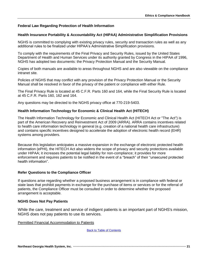## **Federal Law Regarding Protection of Health Information**

## <span id="page-23-0"></span>**Health Insurance Portability & Accountability Act (HIPAA) Administrative Simplification Provisions**

NGHS is committed to complying with existing privacy rules, security and transaction rules as well as any additional rules to be finalized under HIPAA's Administrative Simplification provisions.

To comply with the requirements of the Final Privacy and Security Rules, issued by the United States Department of Health and Human Services under its authority granted by Congress in the HIPAA of 1996, NGHS has adopted two documents: the Privacy Protection Manual and the Security Manual.

Copies of both manuals are available to areas throughout NGHS and are also viewable on the compliance intranet site.

Policies of NGHS that may conflict with any provision of the Privacy Protection Manual or the Security Manual shall be resolved in favor of the privacy of the patient or compliance with either Rule.

The Final Privacy Rule is located at 45 C.F.R. Parts 160 and 164, while the Final Security Rule is located at 45 C.F.R. Parts 160, 162 and 164.

Any questions may be directed to the NGHS privacy office at 770-219-5403.

#### <span id="page-23-1"></span>**Health Information Technology for Economic & Clinical Health Act (HITECH)**

The Health Information Technology for Economic and Clinical Health Act (HITECH Act or "The Act") is part of the American Recovery and Reinvestment Act of 2009 (ARRA). ARRA contains incentives related to health care information technology in general (e.g. creation of a national health care infrastructure) and contains specific incentives designed to accelerate the adoption of electronic health record (EHR) systems among providers.

Because this legislation anticipates a massive expansion in the exchange of electronic protected health information (ePHI), the [HITECH Act](http://www.hipaasurvivalguide.com/hitech-act-text.php) also widens the scope of privacy and security protections available under HIPAA; it increases the potential legal liability for non-compliance; it provides for more enforcement and requires patients to be notified in the event of a "breach" of their "unsecured protected health information".

#### **Refer Questions to the Compliance Officer**

If questions arise regarding whether a proposed business arrangement is in compliance with federal or state laws that prohibit payments in exchange for the purchase of items or services or for the referral of patients, the Compliance Officer must be consulted in order to determine whether the proposed arrangement is acceptable.

#### **NGHS Does Not Pay Patients**

While the care, treatment and service of indigent patients is an important part of NGHS's mission, NGHS does not pay patients to use its services.

Permitted Financial Accommodation to Patients

**Back t[o Table of Contents](#page-2-0)**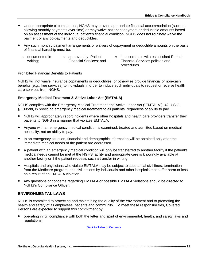- Under appropriate circumstances, NGHS may provide appropriate financial accommodation (such as allowing monthly payments over time) or may waive patient copayment or deductible amounts based on an assessment of the individual patient's financial condition. NGHS does not routinely waive the payment of any co-payments and deductibles.
- Any such monthly payment arrangements or waivers of copayment or deductible amounts on the basis of financial hardship must be:
	- o documented in writing; o approved by Patient Financial Services; and
- o in accordance with established Patient Financial Services policies and procedures.

#### Prohibited Financial Benefits to Patients

NGHS will not waive insurance copayments or deductibles, or otherwise provide financial or non-cash benefits (e.g., free services) to individuals in order to induce such individuals to request or receive health care services from NGHS.

## <span id="page-24-0"></span>**Emergency Medical Treatment & Active Labor Act (EMTALA)**

NGHS complies with the Emergency Medical Treatment and Active Labor Act ("EMTALA"), 42 U.S.C. § 1395dd, in providing emergency medical treatment to all patients, regardless of ability to pay.

- NGHS will appropriately report incidents where other hospitals and health care providers transfer their patients to NGHS in a manner that violates EMTALA.
- Anyone with an emergency medical condition is examined, treated and admitted based on medical necessity, not on ability to pay.
- In an emergency situation, financial and demographic information will be obtained only after the immediate medical needs of the patient are addressed.
- A patient with an emergency medical condition will only be transferred to another facility if the patient's medical needs cannot be met at the NGHS facility and appropriate care is knowingly available at another facility or if the patient requests such a transfer in writing.
- Hospitals and physicians who violate EMTALA may be subject to substantial civil fines, termination from the Medicare program, and civil actions by individuals and other hospitals that suffer harm or loss as a result of an EMTALA violation.
- Any questions or concerns regarding EMTALA or possible EMTALA violations should be directed to NGHS's Compliance Officer.

## <span id="page-24-1"></span>**ENVIRONMENTAL LAWS**

NGHS is committed to protecting and maintaining the quality of the environment and to promoting the health and safety of its employees, patients and community. To meet these responsibilities, Covered Persons are expected to support this commitment by:

 operating in full compliance with both the letter and spirit of environmental, health, and safety laws and regulations;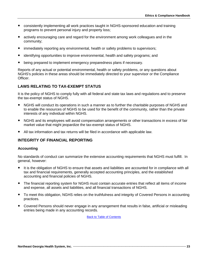- consistently implementing all work practices taught in NGHS-sponsored education and training programs to prevent personal injury and property loss;
- actively encouraging care and regard for the environment among work colleagues and in the community;
- immediately reporting any environmental, health or safety problems to supervisors;
- identifying opportunities to improve environmental, health and safety programs; and
- being prepared to implement emergency preparedness plans if necessary.

Reports of any actual or potential environmental, health or safety problems, or any questions about NGHS's policies in these areas should be immediately directed to your supervisor or the Compliance Officer.

## <span id="page-25-0"></span>**LAWS RELATING TO TAX-EXEMPT STATUS**

It is the policy of NGHS to comply fully with all federal and state tax laws and regulations and to preserve the tax-exempt status of NGHS.

- NGHS will conduct its operations in such a manner as to further the charitable purposes of NGHS and to enable the resources of NGHS to be used for the benefit of the community, rather than the private interests of any individual within NGHS.
- NGHS and its employees will avoid compensation arrangements or other transactions in excess of fair market value that might jeopardize the tax-exempt status of NGHS.
- All tax information and tax returns will be filed in accordance with applicable law.

## <span id="page-25-1"></span>**INTEGRITY OF FINANCIAL REPORTING**

#### **Accounting**

No standards of conduct can summarize the extensive accounting requirements that NGHS must fulfill. In general, however:

- It is the obligation of NGHS to ensure that assets and liabilities are accounted for in compliance with all tax and financial requirements, generally accepted accounting principles, and the established accounting and financial policies of NGHS.
- The financial reporting system for NGHS must contain accurate entries that reflect all items of income and expense, all assets and liabilities, and all financial transactions of NGHS.
- To meet this obligation, NGHS relies on the truthfulness and integrity of Covered Persons in accounting practices.
- Covered Persons should never engage in any arrangement that results in false, artificial or misleading entries being made in any accounting records.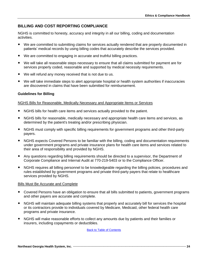## <span id="page-26-0"></span>**BILLING AND COST REPORTING COMPLIANCE**

NGHS is committed to honesty, accuracy and integrity in all our billing, coding and documentation activities.

- We are committed to submitting claims for services actually rendered that are properly documented in patients' medical records by using billing codes that accurately describe the services provided.
- We are committed to engaging in accurate and truthful billing practices.
- We will take all reasonable steps necessary to ensure that all claims submitted for payment are for services properly coded, reasonable and supported by medical necessity requirements.
- We will refund any money received that is not due to us.
- We will take immediate steps to alert appropriate hospital or health system authorities if inaccuracies are discovered in claims that have been submitted for reimbursement.

#### **Guidelines for Billing**

#### NGHS Bills for Reasonable, Medically Necessary and Appropriate Items or Services

- NGHS bills for health care items and services actually provided to the patient.
- NGHS bills for reasonable, medically necessary and appropriate health care items and services, as determined by the patient's treating and/or prescribing physician.
- NGHS must comply with specific billing requirements for government programs and other third-party payers.
- NGHS expects Covered Persons to be familiar with the billing, coding and documentation requirements under government programs and private insurance plans for health care items and services related to their area of responsibility and provided by NGHS.
- Any questions regarding billing requirements should be directed to a supervisor, the Department of Corporate Compliance and Internal Audit at 770-219-5403 or to the Compliance Officer.
- NGHS requires all billing personnel to be knowledgeable regarding the billing policies, procedures and rules established by government programs and private third-party payers that relate to healthcare services provided by NGHS.

#### Bills Must Be Accurate and Complete

- Covered Persons have an obligation to ensure that all bills submitted to patients, government programs and other payers are accurate and complete.
- NGHS will maintain adequate billing systems that properly and accurately bill for services the hospital or its contractors provide to individuals covered by Medicare, Medicaid, other federal health care programs and private insurance.
- NGHS will make reasonable efforts to collect any amounts due by patients and their families or insurers, including copayments or deductibles.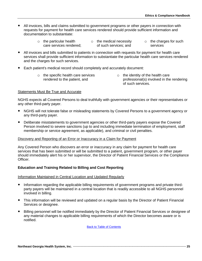- All invoices, bills and claims submitted to government programs or other payers in connection with requests for payment for health care services rendered should provide sufficient information and documentation to substantiate:
	- o the particular health care services rendered; o the medical necessity of such services; and o the charges for such services
- All invoices and bills submitted to patients in connection with requests for payment for health care services shall provide sufficient information to substantiate the particular health care services rendered and the charges for such services.
- Each patient's medical record should completely and accurately document:
	- o the specific health care services rendered to the patient, and
- o the identity of the health care professional(s) involved in the rendering of such services.

#### Statements Must Be True and Accurate

NGHS expects all Covered Persons to deal truthfully with government agencies or their representatives or any other third-party payer.

- NGHS will not tolerate false or misleading statements by Covered Persons to a government agency or any third-party payer.
- Deliberate misstatements to government agencies or other third-party payers expose the Covered Person involved to severe sanctions (up to and including immediate termination of employment, staff membership or service agreement, as applicable), and criminal or civil penalties.

#### Discovery and Reporting of an Error or Inaccuracy in a Claim for Payment

Any Covered Person who discovers an error or inaccuracy in any claim for payment for health care services that has been submitted or will be submitted to a patient, government program, or other payer should immediately alert his or her supervisor, the Director of Patient Financial Services or the Compliance Officer.

#### **Education and Training Related to Billing and Cost Reporting**

#### Information Maintained in Central Location and Updated Regularly

- Information regarding the applicable billing requirements of government programs and private thirdparty payers will be maintained in a central location that is readily accessible to all NGHS personnel involved in billing.
- This information will be reviewed and updated on a regular basis by the Director of Patient Financial Services or designee.
- Billing personnel will be notified immediately by the Director of Patient Financial Services or designee of any material changes to applicable billing requirements of which the Director becomes aware or is notified.

**Back t[o Table of Contents](#page-2-0)**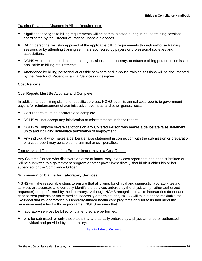#### Training Related to Changes in Billing Requirements

- Significant changes to billing requirements will be communicated during in-house training sessions coordinated by the Director of Patient Financial Services.
- Billing personnel will stay apprised of the applicable billing requirements through in-house training sessions or by attending training seminars sponsored by payers or professional societies and associations.
- NGHS will require attendance at training sessions, as necessary, to educate billing personnel on issues applicable to billing requirements.
- Attendance by billing personnel at outside seminars and in-house training sessions will be documented by the Director of Patient Financial Services or designee.

## **Cost Reports**

#### Cost Reports Must Be Accurate and Complete

In addition to submitting claims for specific services, NGHS submits annual cost reports to government payers for reimbursement of administrative, overhead and other general costs.

- Cost reports must be accurate and complete.
- NGHS will not accept any falsification or misstatements in these reports.
- NGHS will impose severe sanctions on any Covered Person who makes a deliberate false statement, up to and including immediate termination of employment.
- Any individual who makes a deliberate false statement in connection with the submission or preparation of a cost report may be subject to criminal or civil penalties.

#### Discovery and Reporting of an Error or Inaccuracy in a Cost Report

Any Covered Person who discovers an error or inaccuracy in any cost report that has been submitted or will be submitted to a government program or other payer immediately should alert either his or her supervisor or the Compliance Officer.

#### **Submission of Claims for Laboratory Services**

NGHS will take reasonable steps to ensure that all claims for clinical and diagnostic laboratory testing services are accurate and correctly identify the services ordered by the physician (or other authorized requester) and performed by the laboratory. Although NGHS recognizes that its laboratories do not and cannot treat patients or make medical necessity determinations, NGHS will take steps to maximize the likelihood that its laboratories bill federally-funded health care programs only for tests that meet the reimbursement rules for those programs. NGHS requires that:

- laboratory services be billed only after they are performed;
- bills be submitted for only those tests that are actually ordered by a physician or other authorized individual and provided by a laboratory;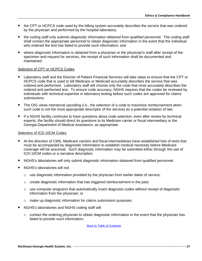- the CPT or HCPCS code used by the billing system accurately describes the service that was ordered by the physician and performed by the hospital laboratory;
- the coding staff only submits diagnostic information obtained from qualified personnel. The coding staff shall contact the appropriate personnel to obtain diagnostic information in the event that the individual who ordered the test has failed to provide such information; and
- where diagnostic information is obtained from a physician or the physician's staff after receipt of the specimen and request for services, the receipt of such information shall be documented and maintained.

#### Selection of CPT or HCPCS Codes

- Laboratory staff and the Director of Patient Financial Services will take steps to ensure that the CPT or HCPCS code that is used to bill Medicare or Medicaid accurately describes the service that was ordered and performed. Laboratory staff will choose only the code that most accurately describes the ordered and performed test. To ensure code accuracy, NGHS requires that the codes be reviewed by individuals with technical expertise in laboratory testing before such codes are approved for claims submissions.
- The OIG views intentional upcoding (i.e., the selection of a code to maximize reimbursement when such code is not the most appropriate descriptor of the service) as a potential violation of law.
- If a NGHS facility continues to have questions about code selection, even after review by technical experts, the facility should direct its questions to its Medicare carrier or fiscal intermediary or the Georgia Department of Medical Assistance, as appropriate.

#### Selection of ICD-10CM Codes

- At the direction of CMS, Medicare carriers and fiscal intermediaries have established lists of tests that must be accompanied by diagnostic information to establish medical necessity before Medicare coverage will be assumed. Such diagnostic information may be submitted either through the use of ICD-10CM codes or a narrative description.
- NGHS's laboratories will only submit diagnostic information obtained from qualified personnel.
- NGHS's laboratories will not:
	- $\circ$  use diagnostic information provided by the physician from earlier dates of service;
	- $\circ$  create diagnostic information that has triggered reimbursement in the past;
	- $\circ$  use computer programs that automatically insert diagnosis codes without receipt of diagnostic information from the physician; or
	- o make up diagnostic information for claims submission purposes.
- NGHS's laboratories and NGHS coding staff will:
	- $\circ$  contact the ordering physician to obtain diagnostic information in the event that the physician has failed to provide such information;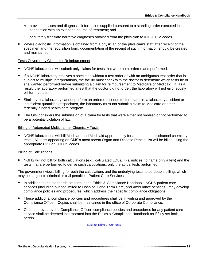- $\circ$  provide services and diagnostic information supplied pursuant to a standing order executed in connection with an extended course of treatment; and
- $\circ$  accurately translate narrative diagnoses obtained from the physician to ICD-10CM codes.
- Where diagnostic information is obtained from a physician or the physician's staff after receipt of the specimen and the requisition form, documentation of the receipt of such information should be created and maintained.

#### Tests Covered by Claims for Reimbursement

- NGHS laboratories will submit only claims for tests that were both ordered and performed.
- If a NGHS laboratory receives a specimen without a test order or with an ambiguous test order that is subject to multiple interpretations, the facility must check with the doctor to determine which tests he or she wanted performed before submitting a claim for reimbursement to Medicare or Medicaid. If, as a result, the laboratory performed a test that the doctor did not order, the laboratory will not erroneously bill for that test.
- Similarly, if a laboratory cannot perform an ordered test due to, for example, a laboratory accident or insufficient quantities of specimen, the laboratory must not submit a claim to Medicare or other federally-funded health care program.
- The OIG considers the submission of a claim for tests that were either not ordered or not performed to be a potential violation of law.

#### Billing of Automated Multichannel Chemistry Tests

 NGHS laboratories will bill Medicare and Medicaid appropriately for automated multichannel chemistry tests. All tests appearing on CMS's most recent Organ and Disease Panels List will be billed using the appropriate CPT or HCPCS codes.

#### Billing of Calculations

 NGHS will not bill for both calculations (e.g., calculated LDLs, T7s, indices, to name only a few) and the tests that are performed to derive such calculations, only the actual tests performed.

The government views billing for both the calculations and the underlying tests to be double billing, which may be subject to criminal or civil penalties. Patient Care Services

- In addition to the standards set forth in the Ethics & Compliance Handbook, NGHS patient care services (including but not limited to Hospice, Long Term Care, and Ambulance services), may develop compliance policies and procedures, which address their specific compliance obligations.
- These additional compliance policies and procedures shall be in writing and approved by the Compliance Officer. Copies shall be maintained in the office of Corporate Compliance.
- Once approved by the Compliance Officer, compliance policies and procedures for any patient care service shall be deemed incorporated into the Ethics & Compliance Handbook as if fully set forth herein.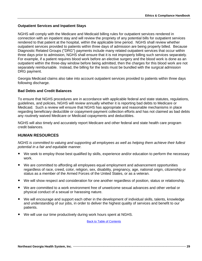## **Outpatient Services and Inpatient Stays**

NGHS will comply with the Medicare and Medicaid billing rules for outpatient services rendered in connection with an inpatient stay and will review the propriety of any potential bills for outpatient services rendered to that patient at the hospital, within the applicable time period. NGHS shall review whether outpatient services provided to patients within three days of admission are being properly billed. Because Diagnostic Related Groups ("DRG") payments include many related outpatient services that occur within three days prior to admission, NGHS shall ensure that it is not improperly billing such services separately. For example, if a patient requires blood work before an elective surgery and the blood work is done as an outpatient within the three-day window before being admitted, then the charges for this blood work are not separately reimbursable. Instead, the billing for the tests must be bundled with the surgical admission DRG payment.

Georgia Medicaid claims also take into account outpatient services provided to patients within three days following discharge.

#### **Bad Debts and Credit Balances**

To ensure that NGHS procedures are in accordance with applicable federal and state statutes, regulations, guidelines, and policies, NGHS will review annually whether it is reporting bad debts to Medicare or Medicaid. Such a review will ensure that NGHS has appropriate and reasonable mechanisms in place regarding beneficiary deductible or copayment-payment collection efforts and has not claimed as bad debts any routinely waived Medicare or Medicaid copayments and deductibles.

NGHS will also timely and accurately report Medicare and other federal and state health care program credit balances.

## <span id="page-31-0"></span>**HUMAN RESOURCES**

*NGHS is committed to valuing and supporting all employees as well as helping them achieve their fullest potential in a fair and equitable manner.*

- We seek to employ those best qualified by skills, experience and/or education to perform the necessary work.
- We are committed to affording all employees equal employment and advancement opportunities regardless of race, creed, color, religion, sex, disability, pregnancy, age, national origin, citizenship or status as a member of the Armed Forces of the United States, or as a veteran.
- We will show respect and consideration for one another regardless of position, status or relationship.
- We are committed to a work environment free of unwelcome sexual advances and other verbal or physical conduct of a sexual or harassing nature.
- We will encourage and support each other in the development of individual skills, talents, knowledge and understanding of our jobs, in order to deliver the highest quality of services and benefit to our patients.
- We will use our time productively during work hours spent at NGHS.

**Back t[o Table of Contents](#page-2-0)**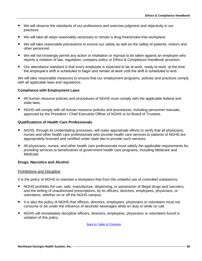- We will observe the standards of our professions and exercise judgment and objectivity in our practices.
- We will take all steps reasonably necessary to remain a drug-free/smoke-free workplace.
- We will take reasonable precautions to ensure our safety as well as the safety of patients, visitors and other personnel.
- We will not knowingly permit any action or retaliation or reprisal to be taken against an employee who reports a violation of law, regulation, company policy or Ethics & Compliance Handbook provision.
- Our attendance standard is that every employee is expected to be at work, ready to work, at the time the employee's shift is scheduled to begin and remain at work until the shift is scheduled to end.

We will take reasonable measures to ensure that our employment programs, policies and practices comply with all applicable laws and regulations.

#### **Compliance with Employment Laws**

- All human resource policies and procedures of NGHS must comply with the applicable federal and state laws.
- NGHS will comply with all human resource policies and procedures, including personnel manuals, approved by the President / Chief Executive Officer of NGHS or its Board of Trustees.

#### **Qualifications of Health Care Professionals**

- NGHS, through its credentialing processes, will make appropriate efforts to verify that all physicians, nurses and other health care professionals who provide health care services to patients of NGHS are appropriately licensed and certified under state law to provide such services.
- All physicians, nurses, and other health care professionals must satisfy the applicable requirements for providing services to beneficiaries of government health care programs, including Medicare and Medicaid.

#### **Drugs, Narcotics and Alcohol**

#### Prohibitions and Discipline

It is the policy of NGHS to maintain a workplace free from the unlawful use of controlled substances.

- NGHS prohibits the use, sale, manufacture, dispensing, or possession of illegal drugs and narcotics, and the writing of unauthorized prescriptions, by its officers, directors, employees, physicians, or volunteers, whether on or off the NGHS campus.
- It is also the policy of NGHS that officers, directors, employees, physicians or volunteers must not consume or be under the influence of alcoholic beverages while on duty or while on call.
- NGHS will immediately discipline officers, directors, employees, physicians or volunteers found in violation of this policy.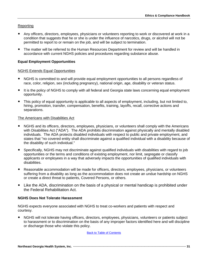## Reporting

- Any officers, directors, employees, physicians or volunteers reporting to work or discovered at work in a condition that suggests that he or she is under the influence of narcotics, drugs, or alcohol will not be permitted to report to or remain on the job, and will be subject to termination.
- The matter will be referred to the Human Resources Department for review and will be handled in accordance with current NGHS policies and procedures regarding substance abuse.

## **Equal Employment Opportunities**

#### NGHS Extends Equal Opportunities

- NGHS is committed to and will provide equal employment opportunities to all persons regardless of race, color, religion, sex (including pregnancy), national origin, age, disability or veteran status.
- It is the policy of NGHS to comply with all federal and Georgia state laws concerning equal employment opportunity.
- This policy of equal opportunity is applicable to all aspects of employment, including, but not limited to, hiring, promotion, transfer, compensation, benefits, training, layoffs, recall, corrective actions and separations.

#### The Americans with Disabilities Act

- NGHS and its officers, directors, employees, physicians, or volunteers shall comply with the Americans with Disabilities Act ("ADA"). The ADA prohibits discrimination against physically and mentally disabled individuals. The ADA protects disabled individuals with respect to public and private employment, and states that "no covered entity shall discriminate against a qualified individual with a disability because of the disability of such individual."
- Specifically, NGHS may not discriminate against qualified individuals with disabilities with regard to job opportunities or the terms and conditions of existing employment, nor limit, segregate or classify applicants or employees in a way that adversely impacts the opportunities of qualified individuals with disabilities.
- Reasonable accommodation will be made for officers, directors, employees, physicians, or volunteers suffering from a disability as long as the accommodation does not create an undue hardship on NGHS or create a direct threat to patients, Covered Persons, or others.
- Like the ADA, discrimination on the basis of a physical or mental handicap is prohibited under the Federal Rehabilitation Act.

#### **NGHS Does Not Tolerate Harassment**

NGHS expects everyone associated with NGHS to treat co-workers and patients with respect and courtesy.

 NGHS will not tolerate having officers, directors, employees, physicians, volunteers or patients subject to harassment or to discrimination on the basis of any improper factors identified here and will discipline or discharge those who violate this policy.

**Back t[o Table of Contents](#page-2-0)**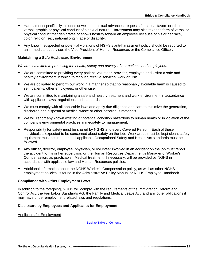- Harassment specifically includes unwelcome sexual advances, requests for sexual favors or other verbal, graphic or physical conduct of a sexual nature. Harassment may also take the form of verbal or physical conduct that denigrates or shows hostility toward an employee because of his or her race, color, religion, sex, national origin, age or disability.
- Any known, suspected or potential violations of NGHS's anti-harassment policy should be reported to an immediate supervisor, the Vice President of Human Resources or the Compliance Officer.

#### **Maintaining a Safe Healthcare Environment**

*We are committed to protecting the health, safety and privacy of our patients and employees.*

- We are committed to providing every patient, volunteer, provider, employee and visitor a safe and healthy environment in which to recover, receive services, work or visit.
- We are obligated to perform our work in a manner so that no reasonably avoidable harm is caused to self, patients, other employees, or otherwise.
- We are committed to maintaining a safe and healthy treatment and work environment in accordance with applicable laws, regulations and standards.
- We must comply with all applicable laws and apply due diligence and care to minimize the generation, discharge and disposal of medical waste or other hazardous materials.
- We will report any known existing or potential condition hazardous to human health or in violation of the company's environmental practices immediately to management.
- Responsibility for safety must be shared by NGHS and every Covered Person. Each of these individuals is expected to be concerned about safety on the job. Work areas must be kept clean, safety equipment must be used, and all applicable Occupational Safety and Health Act standards must be followed.
- Any officer, director, employee, physician, or volunteer involved in an accident on the job must report the accident to his or her supervisor, or the Human Resources Department's Manager of Worker's Compensation, as practicable. Medical treatment, if necessary, will be provided by NGHS in accordance with applicable law and Human Resources policies.
- Additional information about the NGHS Worker's Compensation policy, as well as other NGHS employment policies, is found in the Administrative Policy Manual or NGHS Employee Handbook.

#### **Compliance with Other Employment Laws**

In addition to the foregoing, NGHS will comply with the requirements of the Immigration Reform and Control Act, the Fair Labor Standards Act, the Family and Medical Leave Act, and any other obligations it may have under employment related laws and regulations.

#### **Disclosure by Employees and Applicants for Employment**

Applicants for Employment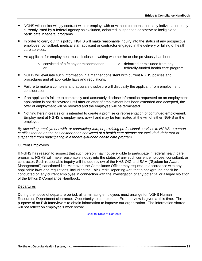- NGHS will not knowingly contract with or employ, with or without compensation, any individual or entity currently listed by a federal agency as excluded, debarred, suspended or otherwise ineligible to participate in federal programs.
- In order to carry out this policy, NGHS will make reasonable inquiry into the status of any prospective employee, consultant, medical staff applicant or contractor engaged in the delivery or billing of health care services.
- An applicant for employment must disclose in writing whether he or she previously has been:
	- o convicted of a felony or misdemeanor; or o debarred or excluded from any federally-funded health care program.
- NGHS will evaluate such information in a manner consistent with current NGHS policies and procedures and all applicable laws and regulations.
- Failure to make a complete and accurate disclosure will disqualify the applicant from employment consideration.
- If an applicant's failure to completely and accurately disclose information requested on an employment application is not discovered until after an offer of employment has been extended and accepted, the offer of employment will be revoked and the employee will be terminated.
- Nothing herein creates or is intended to create a promise or representation of continued employment. Employment at NGHS is employment at-will and may be terminated at the will of either NGHS or the employee.

*By accepting employment with, or contracting with, or providing professional services to NGHS, a person certifies that he or she has neither been convicted of a health care offense nor excluded, debarred or suspended from participating in a federally-funded health care program.*

#### Current Employees

If NGHS has reason to suspect that such person may not be eligible to participate in federal health care programs, NGHS will make reasonable inquiry into the status of any such current employee, consultant, or contractor. Such reasonable inquiry will include review of the HHS-OIG and SAM ("System for Award Management") sanctioned list. Moreover, the Compliance Officer may request, in accordance with any applicable laws and regulations, including the Fair Credit Reporting Act, that a background check be conducted on any current employee in connection with the investigation of any potential or alleged violation of the Ethics & Compliance Handbook.

#### **Departures**

During the notice of departure period, all terminating employees must arrange for NGHS Human Resources Department clearance. Opportunity to complete an Exit Interview is given at this time. The purpose of an Exit Interview is to obtain information to improve our organization. The information shared will not reflect on employee's work record.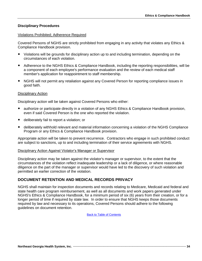## **Disciplinary Procedures**

#### Violations Prohibited; Adherence Required

Covered Persons of NGHS are strictly prohibited from engaging in any activity that violates any Ethics & Compliance Handbook provision.

- Violations will be grounds for disciplinary action up to and including termination, depending on the circumstances of each violation.
- Adherence to the NGHS Ethics & Compliance Handbook, including the reporting responsibilities, will be a component of each employee's performance evaluation and the review of each medical staff member's application for reappointment to staff membership.
- NGHS will not permit any retaliation against any Covered Person for reporting compliance issues in good faith.

#### Disciplinary Action

Disciplinary action will be taken against Covered Persons who either:

- authorize or participate directly in a violation of any NGHS Ethics & Compliance Handbook provision, even if said Covered Person is the one who reported the violation.
- deliberately fail to report a violation; or
- deliberately withhold relevant and material information concerning a violation of the NGHS Compliance Program or any Ethics & Compliance Handbook provision.

Appropriate action will be taken to prevent recurrence. Contractors who engage in such prohibited conduct are subject to sanctions, up to and including termination of their service agreements with NGHS.

#### Disciplinary Action Against Violator's Manager or Supervisor

Disciplinary action may be taken against the violator's manager or supervisor, to the extent that the circumstances of the violation reflect inadequate leadership or a lack of diligence, or where reasonable diligence on the part of the manager or supervisor would have led to the discovery of such violation and permitted an earlier correction of the violation.

## <span id="page-36-0"></span>**DOCUMENT RETENTION AND MEDICAL RECORDS PRIVACY**

NGHS shall maintain for inspection documents and records relating to Medicare, Medicaid and federal and state health care program reimbursement, as well as all documents and work papers generated under NGHS's Ethics & Compliance Handbook, for a minimum period of six (6) years from their creation, or for a longer period of time if required by state law. In order to ensure that NGHS keeps those documents required by law and necessary to its operations, Covered Persons should adhere to the following guidelines on document retention.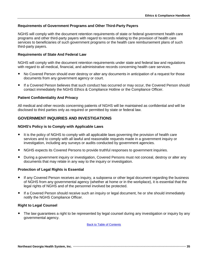## **Requirements of Government Programs and Other Third-Party Payers**

NGHS will comply with the document retention requirements of state or federal government health care programs and other third-party payers with regard to records relating to the provision of health care services to beneficiaries of such government programs or the health care reimbursement plans of such third-party payers.

## **Requirements of State And Federal Law**

NGHS will comply with the document retention requirements under state and federal law and regulations with regard to all medical, financial, and administrative records concerning health care services.

- No Covered Person should ever destroy or alter any documents in anticipation of a request for those documents from any government agency or court.
- If a Covered Person believes that such conduct has occurred or may occur, the Covered Person should contact immediately the NGHS Ethics & Compliance Hotline or the Compliance Officer.

#### **Patient Confidentiality And Privacy**

All medical and other records concerning patients of NGHS will be maintained as confidential and will be disclosed to third parties only as required or permitted by state or federal law.

## <span id="page-37-0"></span>**GOVERNMENT INQUIRIES AND INVESTIGATIONS**

#### **NGHS's Policy is to Comply with Applicable Laws**

- It is the policy of NGHS to comply with all applicable laws governing the provision of health care services and to comply with all lawful and reasonable requests made in a government inquiry or investigation, including any surveys or audits conducted by government agencies.
- NGHS expects its Covered Persons to provide truthful responses to government inquiries.
- During a government inquiry or investigation, Covered Persons must not conceal, destroy or alter any documents that may relate in any way to the inquiry or investigation.

## **Protection of Legal Rights is Essential**

- If any Covered Person receives an inquiry, a subpoena or other legal document regarding the business of NGHS from any governmental agency (whether at home or in the workplace), it is essential that the legal rights of NGHS and of the personnel involved be protected.
- If a Covered Person should receive such an inquiry or legal document, he or she should immediately notify the NGHS Compliance Officer.

#### **Right to Legal Counsel**

 The law guarantees a right to be represented by legal counsel during any investigation or inquiry by any governmental agency.